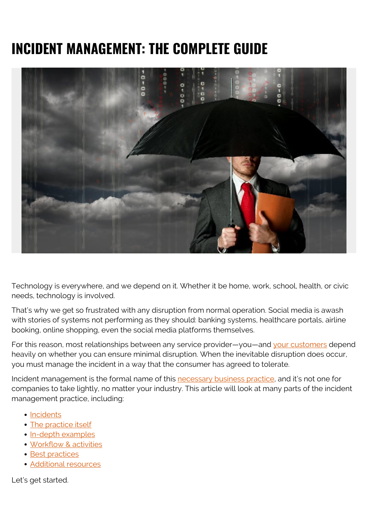# **INCIDENT MANAGEMENT: THE COMPLETE GUIDE**



Technology is everywhere, and we depend on it. Whether it be home, work, school, health, or civic needs, technology is involved.

That's why we get so frustrated with any disruption from normal operation. Social media is awash with stories of systems not performing as they should: banking systems, healthcare portals, airline booking, online shopping, even the social media platforms themselves.

For this reason, most relationships between any service provider—you—and [your customers](https://blogs.bmc.com/blogs/internal-vs-external-customers/) depend heavily on whether you can ensure minimal disruption. When the inevitable disruption does occur, you must manage the incident in a way that the consumer has agreed to tolerate.

Incident management is the formal name of this [necessary business practice,](https://blogs.bmc.com/blogs/critical-it-tech-policies/) and it's not one for companies to take lightly, no matter your industry. This article will look at many parts of the incident management practice, including:

- [Incidents](#page--1-0)
- [The practice itself](#page--1-0)
- [In-depth examples](#page--1-0)
- [Workflow & activities](#page--1-0)
- [Best practices](#page--1-0)
- [Additional resources](#page--1-0)

Let's get started.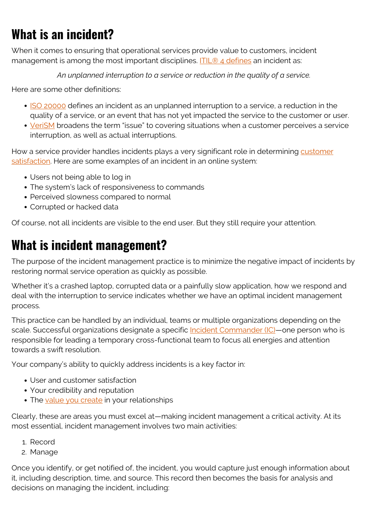# **What is an incident?**

When it comes to ensuring that operational services provide value to customers, incident management is among the most important disciplines. [ITIL® 4 defines](https://blogs.bmc.com/blogs/itil-incident-management/) an incident as:

*An unplanned interruption to a service or reduction in the quality of a service.*

Here are some other definitions:

- [ISO 20000](https://blogs.bmc.com/blogs/iso-20000-vs-itil-whats-the-difference-and-how-are-they-related/) defines an incident as an unplanned interruption to a service, a reduction in the quality of a service, or an event that has not yet impacted the service to the customer or user.
- [VeriSM](https://blogs.bmc.com/blogs/verism-introduction/) broadens the term "issue" to covering situations when a customer perceives a service interruption, as well as actual interruptions.

How a service provider handles incidents plays a very significant role in determining [customer](https://blogs.bmc.com/blogs/customer-satisfaction-csat-service-desk-metric/) [satisfaction](https://blogs.bmc.com/blogs/customer-satisfaction-csat-service-desk-metric/). Here are some examples of an incident in an online system:

- Users not being able to log in
- The system's lack of responsiveness to commands
- Perceived slowness compared to normal
- Corrupted or hacked data

Of course, not all incidents are visible to the end user. But they still require your attention.

# **What is incident management?**

The purpose of the incident management practice is to minimize the negative impact of incidents by restoring normal service operation as quickly as possible.

Whether it's a crashed laptop, corrupted data or a painfully slow application, how we respond and deal with the interruption to service indicates whether we have an optimal incident management process.

This practice can be handled by an individual, teams or multiple organizations depending on the scale. Successful organizations designate a specific [Incident Commander \(IC\)—](https://blogs.bmc.com/blogs/incident-commander/)one person who is responsible for leading a temporary cross-functional team to focus all energies and attention towards a swift resolution.

Your company's ability to quickly address incidents is a key factor in:

- User and customer satisfaction
- Your credibility and reputation
- The [value you create](https://blogs.bmc.com/blogs/it-service/) in your relationships

Clearly, these are areas you must excel at—making incident management a critical activity. At its most essential, incident management involves two main activities:

- 1. Record
- 2. Manage

Once you identify, or get notified of, the incident, you would capture just enough information about it, including description, time, and source. This record then becomes the basis for analysis and decisions on managing the incident, including: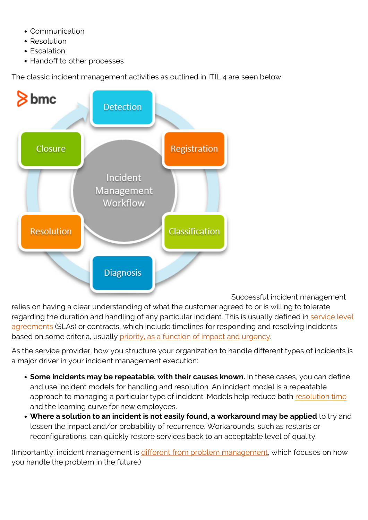- Communication
- Resolution
- Escalation
- Handoff to other processes

The classic incident management activities as outlined in ITIL 4 are seen below:



Successful incident management

relies on having a clear understanding of what the customer agreed to or is willing to tolerate regarding the duration and handling of any particular incident. This is usually defined in [service level](https://blogs.bmc.com/blogs/sla-template-examples/) [agreements](https://blogs.bmc.com/blogs/sla-template-examples/) (SLAs) or contracts, which include timelines for responding and resolving incidents based on some criteria, usually [priority, as a function of impact and urgency](https://blogs.bmc.com/blogs/impact-urgency-priority/).

As the service provider, how you structure your organization to handle different types of incidents is a major driver in your incident management execution:

- **Some incidents may be repeatable, with their causes known.** In these cases, you can define and use incident models for handling and resolution. An incident model is a repeatable approach to managing a particular type of incident. Models help reduce both [resolution time](https://blogs.bmc.com/blogs/mttr-mean-time-to-resolve/) and the learning curve for new employees.
- **Where a solution to an incident is not easily found, a workaround may be applied** to try and lessen the impact and/or probability of recurrence. Workarounds, such as restarts or reconfigurations, can quickly restore services back to an acceptable level of quality.

(Importantly, incident management is [different from problem management](https://blogs.bmc.com/blogs/incident-management-vs-problem-management-whats-the-difference/), which focuses on how you handle the problem in the future.)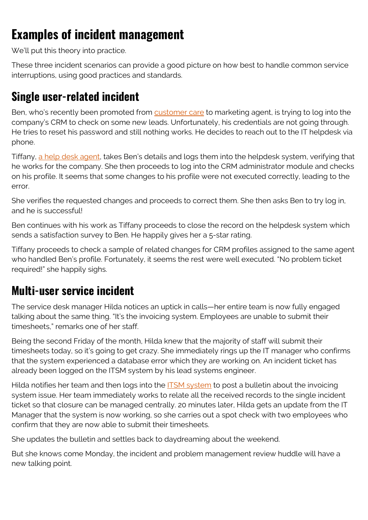# **Examples of incident management**

We'll put this theory into practice.

These three incident scenarios can provide a good picture on how best to handle common service interruptions, using good practices and standards.

#### **Single user-related incident**

Ben, who's recently been promoted from [customer care](https://blogs.bmc.com/blogs/customer-service-vs-technical-support/) to marketing agent, is trying to log into the company's CRM to check on some new leads. Unfortunately, his credentials are not going through. He tries to reset his password and still nothing works. He decides to reach out to the IT helpdesk via phone.

Tiffany, [a help desk agent,](https://blogs.bmc.com/blogs/service-desk-support-analyst/) takes Ben's details and logs them into the helpdesk system, verifying that he works for the company. She then proceeds to log into the CRM administrator module and checks on his profile. It seems that some changes to his profile were not executed correctly, leading to the error.

She verifies the requested changes and proceeds to correct them. She then asks Ben to try log in, and he is successful!

Ben continues with his work as Tiffany proceeds to close the record on the helpdesk system which sends a satisfaction survey to Ben. He happily gives her a 5-star rating.

Tiffany proceeds to check a sample of related changes for CRM profiles assigned to the same agent who handled Ben's profile. Fortunately, it seems the rest were well executed. "No problem ticket required!" she happily sighs.

#### **Multi-user service incident**

The service desk manager Hilda notices an uptick in calls—her entire team is now fully engaged talking about the same thing. "It's the invoicing system. Employees are unable to submit their timesheets," remarks one of her staff.

Being the second Friday of the month, Hilda knew that the majority of staff will submit their timesheets today, so it's going to get crazy. She immediately rings up the IT manager who confirms that the system experienced a database error which they are working on. An incident ticket has already been logged on the ITSM system by his lead systems engineer.

Hilda notifies her team and then logs into the [ITSM system](https://blogs.bmc.com/blogs/it-ticketing-systems/) to post a bulletin about the invoicing system issue. Her team immediately works to relate all the received records to the single incident ticket so that closure can be managed centrally. 20 minutes later, Hilda gets an update from the IT Manager that the system is now working, so she carries out a spot check with two employees who confirm that they are now able to submit their timesheets.

She updates the bulletin and settles back to daydreaming about the weekend.

But she knows come Monday, the incident and problem management review huddle will have a new talking point.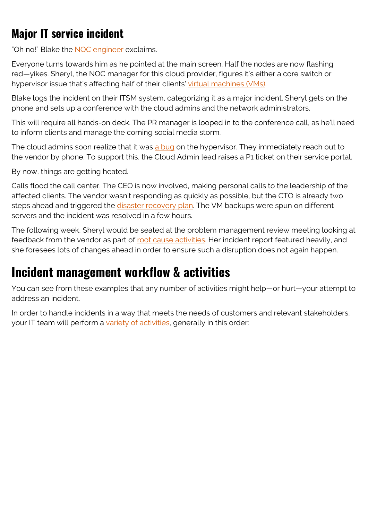# **Major IT service incident**

"Oh no!" Blake the [NOC engineer](https://blogs.bmc.com/blogs/noc-engineer/) exclaims.

Everyone turns towards him as he pointed at the main screen. Half the nodes are now flashing red—yikes. Sheryl, the NOC manager for this cloud provider, figures it's either a core switch or hypervisor issue that's affecting half of their clients' [virtual machines \(VMs\)](https://blogs.bmc.com/blogs/containers-vs-virtual-machines/).

Blake logs the incident on their ITSM system, categorizing it as a major incident. Sheryl gets on the phone and sets up a conference with the cloud admins and the network administrators.

This will require all hands-on deck. The PR manager is looped in to the conference call, as he'll need to inform clients and manage the coming social media storm.

The cloud admins soon realize that it was [a bug](https://blogs.bmc.com/blogs/patch-hotfix-coldfix-bugfix/) on the hypervisor. They immediately reach out to the vendor by phone. To support this, the Cloud Admin lead raises a P1 ticket on their service portal.

By now, things are getting heated.

Calls flood the call center. The CEO is now involved, making personal calls to the leadership of the affected clients. The vendor wasn't responding as quickly as possible, but the CTO is already two steps ahead and triggered the [disaster recovery plan](https://blogs.bmc.com/blogs/disaster-recovery-planning/). The VM backups were spun on different servers and the incident was resolved in a few hours.

The following week, Sheryl would be seated at the problem management review meeting looking at feedback from the vendor as part of [root cause activities.](https://blogs.bmc.com/blogs/root-cause-analysis/) Her incident report featured heavily, and she foresees lots of changes ahead in order to ensure such a disruption does not again happen.

### **Incident management workflow & activities**

You can see from these examples that any number of activities might help—or hurt—your attempt to address an incident.

In order to handle incidents in a way that meets the needs of customers and relevant stakeholders, your IT team will perform a [variety of activities](https://blogs.bmc.com/blogs/itil-v3-incident-management/), generally in this order: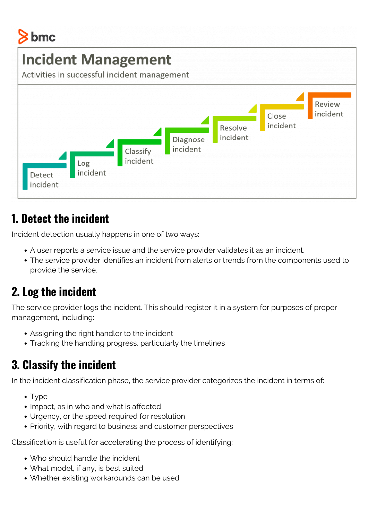# bmc

# **Incident Management**

Activities in successful incident management



#### **1. Detect the incident**

Incident detection usually happens in one of two ways:

- A user reports a service issue and the service provider validates it as an incident.
- The service provider identifies an incident from alerts or trends from the components used to provide the service.

### **2. Log the incident**

The service provider logs the incident. This should register it in a system for purposes of proper management, including:

- Assigning the right handler to the incident
- Tracking the handling progress, particularly the timelines

### **3. Classify the incident**

In the incident classification phase, the service provider categorizes the incident in terms of:

- Type
- Impact, as in who and what is affected
- Urgency, or the speed required for resolution
- Priority, with regard to business and customer perspectives

Classification is useful for accelerating the process of identifying:

- Who should handle the incident
- What model, if any, is best suited
- Whether existing workarounds can be used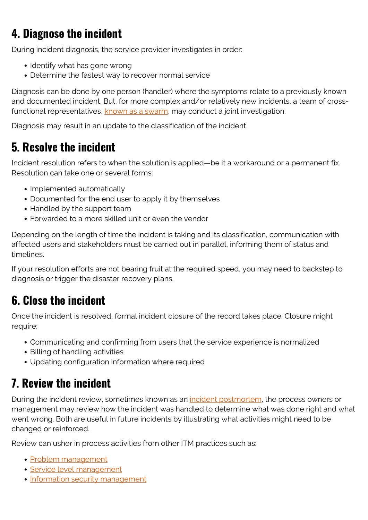# **4. Diagnose the incident**

During incident diagnosis, the service provider investigates in order:

- Identify what has gone wrong
- Determine the fastest way to recover normal service

Diagnosis can be done by one person (handler) where the symptoms relate to a previously known and documented incident. But, for more complex and/or relatively new incidents, a team of crossfunctional representatives, [known as a swarm,](https://blogs.bmc.com/blogs/swarming-support-tiered-support-differences/) may conduct a joint investigation.

Diagnosis may result in an update to the classification of the incident.

#### **5. Resolve the incident**

Incident resolution refers to when the solution is applied—be it a workaround or a permanent fix. Resolution can take one or several forms:

- Implemented automatically
- Documented for the end user to apply it by themselves
- Handled by the support team
- Forwarded to a more skilled unit or even the vendor

Depending on the length of time the incident is taking and its classification, communication with affected users and stakeholders must be carried out in parallel, informing them of status and timelines.

If your resolution efforts are not bearing fruit at the required speed, you may need to backstep to diagnosis or trigger the disaster recovery plans.

#### **6. Close the incident**

Once the incident is resolved, formal incident closure of the record takes place. Closure might require:

- Communicating and confirming from users that the service experience is normalized
- Billing of handling activities
- Updating configuration information where required

#### **7. Review the incident**

During the incident review, sometimes known as an *incident postmortem*, the process owners or management may review how the incident was handled to determine what was done right and what went wrong. Both are useful in future incidents by illustrating what activities might need to be changed or reinforced.

Review can usher in process activities from other ITM practices such as:

- [Problem management](https://blogs.bmc.com/blogs/itil-problem-management/)
- [Service level management](https://blogs.bmc.com/blogs/itil-service-level-management/)
- [Information security management](https://blogs.bmc.com/blogs/introduction-to-information-security-management-systems-isms/)